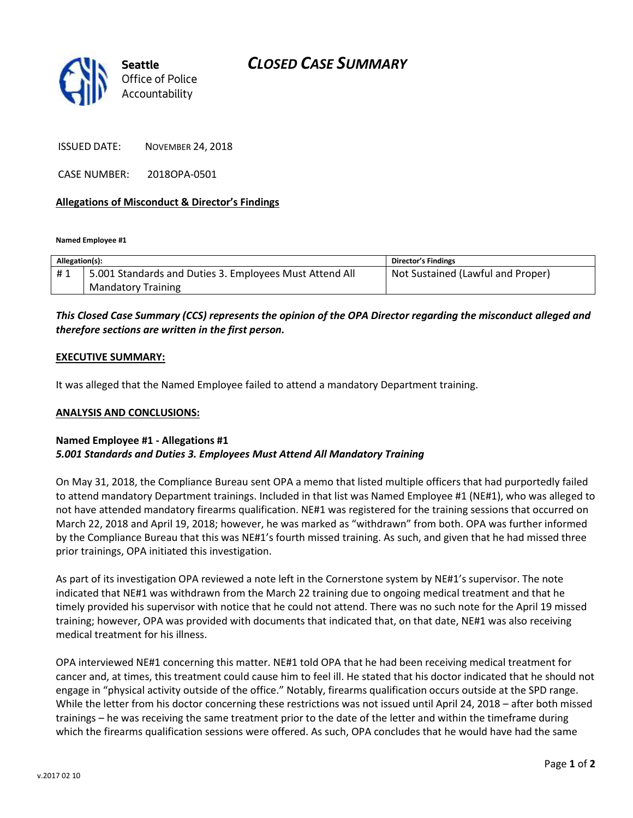



ISSUED DATE: NOVEMBER 24, 2018

CASE NUMBER: 2018OPA-0501

## **Allegations of Misconduct & Director's Findings**

**Named Employee #1**

| Allegation(s): |                                                         | <b>Director's Findings</b>        |
|----------------|---------------------------------------------------------|-----------------------------------|
| #1             | 5.001 Standards and Duties 3. Employees Must Attend All | Not Sustained (Lawful and Proper) |
|                | <b>Mandatory Training</b>                               |                                   |

# *This Closed Case Summary (CCS) represents the opinion of the OPA Director regarding the misconduct alleged and therefore sections are written in the first person.*

### **EXECUTIVE SUMMARY:**

It was alleged that the Named Employee failed to attend a mandatory Department training.

#### **ANALYSIS AND CONCLUSIONS:**

## **Named Employee #1 - Allegations #1** *5.001 Standards and Duties 3. Employees Must Attend All Mandatory Training*

On May 31, 2018, the Compliance Bureau sent OPA a memo that listed multiple officers that had purportedly failed to attend mandatory Department trainings. Included in that list was Named Employee #1 (NE#1), who was alleged to not have attended mandatory firearms qualification. NE#1 was registered for the training sessions that occurred on March 22, 2018 and April 19, 2018; however, he was marked as "withdrawn" from both. OPA was further informed by the Compliance Bureau that this was NE#1's fourth missed training. As such, and given that he had missed three prior trainings, OPA initiated this investigation.

As part of its investigation OPA reviewed a note left in the Cornerstone system by NE#1's supervisor. The note indicated that NE#1 was withdrawn from the March 22 training due to ongoing medical treatment and that he timely provided his supervisor with notice that he could not attend. There was no such note for the April 19 missed training; however, OPA was provided with documents that indicated that, on that date, NE#1 was also receiving medical treatment for his illness.

OPA interviewed NE#1 concerning this matter. NE#1 told OPA that he had been receiving medical treatment for cancer and, at times, this treatment could cause him to feel ill. He stated that his doctor indicated that he should not engage in "physical activity outside of the office." Notably, firearms qualification occurs outside at the SPD range. While the letter from his doctor concerning these restrictions was not issued until April 24, 2018 – after both missed trainings – he was receiving the same treatment prior to the date of the letter and within the timeframe during which the firearms qualification sessions were offered. As such, OPA concludes that he would have had the same